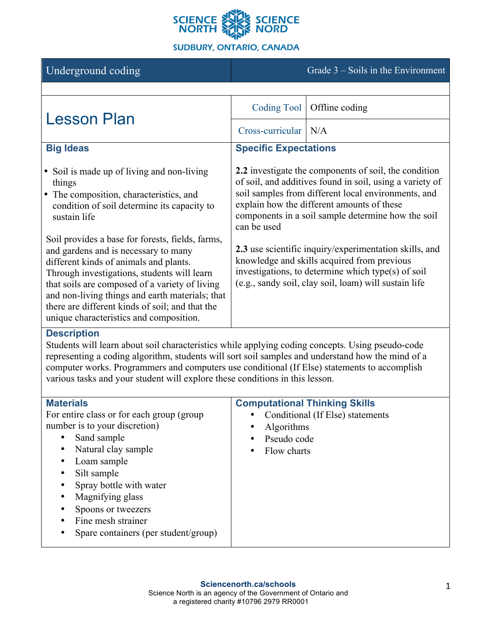

# **SUDBURY, ONTARIO, CANADA**

Underground coding Grade 3 – Soils in the Environment

| <b>Lesson Plan</b>                                                                                                                                                                                                                                                                                                                                                                                          | <b>Coding Tool</b>                                                                                                                                                                                                                                                                                                                                                                                                                                                                                                  | Offline coding |
|-------------------------------------------------------------------------------------------------------------------------------------------------------------------------------------------------------------------------------------------------------------------------------------------------------------------------------------------------------------------------------------------------------------|---------------------------------------------------------------------------------------------------------------------------------------------------------------------------------------------------------------------------------------------------------------------------------------------------------------------------------------------------------------------------------------------------------------------------------------------------------------------------------------------------------------------|----------------|
|                                                                                                                                                                                                                                                                                                                                                                                                             | Cross-curricular   N/A                                                                                                                                                                                                                                                                                                                                                                                                                                                                                              |                |
| <b>Big Ideas</b>                                                                                                                                                                                                                                                                                                                                                                                            | <b>Specific Expectations</b>                                                                                                                                                                                                                                                                                                                                                                                                                                                                                        |                |
| • Soil is made up of living and non-living<br>things<br>• The composition, characteristics, and<br>condition of soil determine its capacity to<br>sustain life<br>Soil provides a base for forests, fields, farms,<br>and gardens and is necessary to many<br>different kinds of animals and plants.<br>Through investigations, students will learn<br>that soils are composed of a variety of living       | 2.2 investigate the components of soil, the condition<br>of soil, and additives found in soil, using a variety of<br>soil samples from different local environments, and<br>explain how the different amounts of these<br>components in a soil sample determine how the soil<br>can be used<br>2.3 use scientific inquiry/experimentation skills, and<br>knowledge and skills acquired from previous<br>investigations, to determine which type(s) of soil<br>(e.g., sandy soil, clay soil, loam) will sustain life |                |
| and non-living things and earth materials; that<br>there are different kinds of soil; and that the<br>unique characteristics and composition.                                                                                                                                                                                                                                                               |                                                                                                                                                                                                                                                                                                                                                                                                                                                                                                                     |                |
| <b>Description</b><br>Students will learn about soil characteristics while applying coding concepts. Using pseudo-code<br>representing a coding algorithm, students will sort soil samples and understand how the mind of a<br>computer works. Programmers and computers use conditional (If Else) statements to accomplish<br>various tasks and your student will explore these conditions in this lesson. |                                                                                                                                                                                                                                                                                                                                                                                                                                                                                                                     |                |

| <b>Materials</b>                           | <b>Computational Thinking Skills</b> |
|--------------------------------------------|--------------------------------------|
| For entire class or for each group (group) | Conditional (If Else) statements     |
| number is to your discretion)              | <b>Algorithms</b><br>$\bullet$       |
| Sand sample<br>$\bullet$                   | Pseudo code<br>$\bullet$             |
| Natural clay sample<br>$\bullet$           | Flow charts<br>٠                     |
| Loam sample<br>٠                           |                                      |
| Silt sample<br>٠                           |                                      |
| Spray bottle with water                    |                                      |
| Magnifying glass<br>$\bullet$              |                                      |
| Spoons or tweezers                         |                                      |
| Fine mesh strainer                         |                                      |
| Spare containers (per student/group)       |                                      |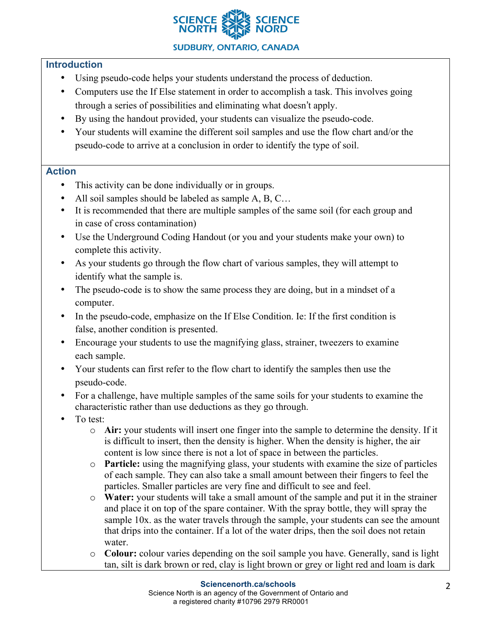

# **Introduction**

- Using pseudo-code helps your students understand the process of deduction.
- Computers use the If Else statement in order to accomplish a task. This involves going through a series of possibilities and eliminating what doesn't apply.
- By using the handout provided, your students can visualize the pseudo-code.
- Your students will examine the different soil samples and use the flow chart and/or the pseudo-code to arrive at a conclusion in order to identify the type of soil.

## **Action**

- This activity can be done individually or in groups.
- All soil samples should be labeled as sample A, B, C...
- It is recommended that there are multiple samples of the same soil (for each group and in case of cross contamination)
- Use the Underground Coding Handout (or you and your students make your own) to complete this activity.
- As your students go through the flow chart of various samples, they will attempt to identify what the sample is.
- The pseudo-code is to show the same process they are doing, but in a mindset of a computer.
- In the pseudo-code, emphasize on the If Else Condition. Ie: If the first condition is false, another condition is presented.
- Encourage your students to use the magnifying glass, strainer, tweezers to examine each sample.
- Your students can first refer to the flow chart to identify the samples then use the pseudo-code.
- For a challenge, have multiple samples of the same soils for your students to examine the characteristic rather than use deductions as they go through.
- To test:
	- o **Air:** your students will insert one finger into the sample to determine the density. If it is difficult to insert, then the density is higher. When the density is higher, the air content is low since there is not a lot of space in between the particles.
	- o **Particle:** using the magnifying glass, your students with examine the size of particles of each sample. They can also take a small amount between their fingers to feel the particles. Smaller particles are very fine and difficult to see and feel.
	- o **Water:** your students will take a small amount of the sample and put it in the strainer and place it on top of the spare container. With the spray bottle, they will spray the sample 10x. as the water travels through the sample, your students can see the amount that drips into the container. If a lot of the water drips, then the soil does not retain water.
	- o **Colour:** colour varies depending on the soil sample you have. Generally, sand is light tan, silt is dark brown or red, clay is light brown or grey or light red and loam is dark